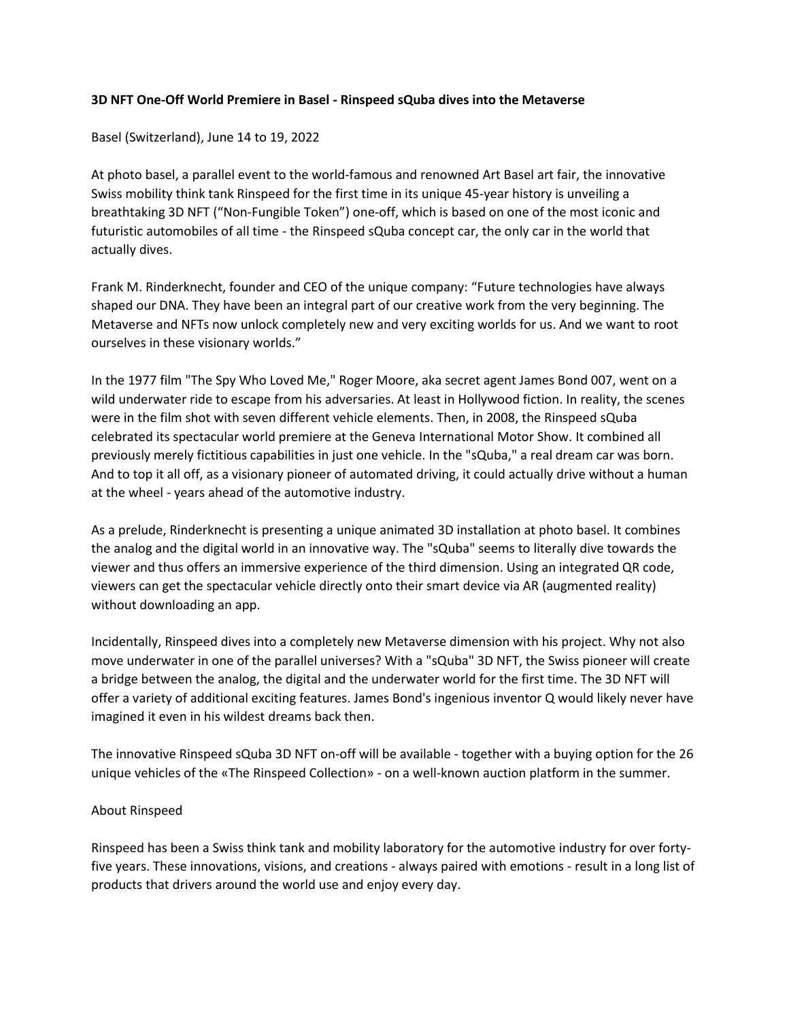## **3D NFT One-Off World Premiere in Basel - Rinspeed sQuba dives into the Metaverse**

Basel (Switzerland), June 14 to 19, 2022

At photo basel, a parallel event to the world-famous and renowned Art Basel art fair, the innovative Swiss mobility think tank Rinspeed for the first time in its unique 45-year history is unveiling a breathtaking 3D NFT ("Non-Fungible Token") one-off, which is based on one of the most iconic and futuristic automobiles of all time - the Rinspeed sQuba concept car, the only car in the world that actually dives.

Frank M. Rinderknecht, founder and CEO of the unique company: "Future technologies have always shaped our DNA. They have been an integral part of our creative work from the very beginning. The Metaverse and NFTs now unlock completely new and very exciting worlds for us. And we want to root ourselves in these visionary worlds."

In the 1977 film "The Spy Who Loved Me," Roger Moore, aka secret agent James Bond 007, went on a wild underwater ride to escape from his adversaries. At least in Hollywood fiction. In reality, the scenes were in the film shot with seven different vehicle elements. Then, in 2008, the Rinspeed sQuba celebrated its spectacular world premiere at the Geneva International Motor Show. It combined all previously merely fictitious capabilities in just one vehicle. In the "sQuba," a real dream car was born. And to top it all off, as a visionary pioneer of automated driving, it could actually drive without a human at the wheel - years ahead of the automotive industry.

As a prelude, Rinderknecht is presenting a unique animated 3D installation at photo basel. It combines the analog and the digital world in an innovative way. The "sQuba" seems to literally dive towards the viewer and thus offers an immersive experience of the third dimension. Using an integrated QR code, viewers can get the spectacular vehicle directly onto their smart device via AR (augmented reality) without downloading an app.

Incidentally, Rinspeed dives into a completely new Metaverse dimension with his project. Why not also move underwater in one of the parallel universes? With a "sQuba" 3D NFT, the Swiss pioneer will create a bridge between the analog, the digital and the underwater world for the first time. The 3D NFT will offer a variety of additional exciting features. James Bond's ingenious inventor Q would likely never have imagined it even in his wildest dreams back then.

The innovative Rinspeed sQuba 3D NFT on-off will be available - together with a buying option for the 26 unique vehicles of the «The Rinspeed Collection» - on a well-known auction platform in the summer.

### About Rinspeed

Rinspeed has been a Swiss think tank and mobility laboratory for the automotive industry for over fortyfive years. These innovations, visions, and creations - always paired with emotions - result in a long list of products that drivers around the world use and enjoy every day.